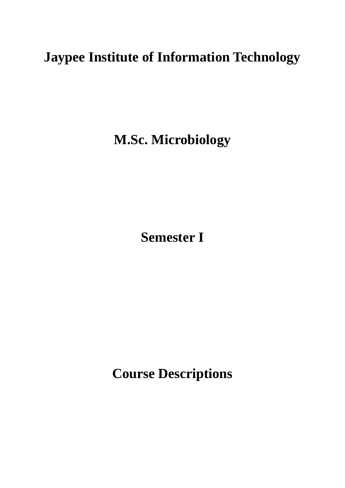# **Jaypee Institute of Information Technology**

**M.Sc. Microbiology**

**Semester I**

**Course Descriptions**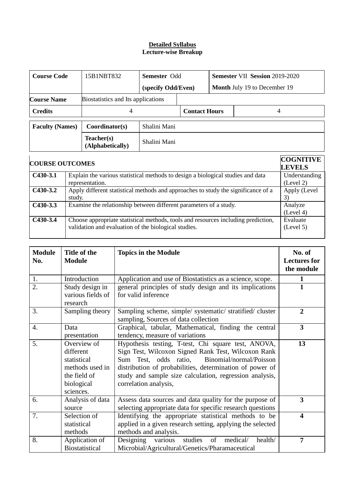## **Detailed Syllabus Lecture-wise Breakup**

| <b>Course Code</b>     | 15B1NBT832                         | <b>Semester Odd</b> |                                     |  | <b>Semester VII Session 2019-2020</b>                 |
|------------------------|------------------------------------|---------------------|-------------------------------------|--|-------------------------------------------------------|
|                        |                                    | (specify Odd/Even)  | <b>Month July 19 to December 19</b> |  |                                                       |
| <b>Course Name</b>     | Biostatistics and Its applications |                     |                                     |  |                                                       |
| <b>Credits</b>         | 4                                  |                     | <b>Contact Hours</b>                |  | 4                                                     |
| <b>Faculty (Names)</b> | Coordinator(s)                     | Shalini Mani        |                                     |  |                                                       |
|                        | Teacher(s)<br>(Alphabetically)     | Shalini Mani        |                                     |  |                                                       |
|                        |                                    |                     |                                     |  | $\Omega$ $\Omega$ $\Omega$ in the $\overline{\Omega}$ |

| <b>COURSE OUTCOMES</b> |                                                                                                                                           | <b>COGNITIVE</b><br><b>LEVELS</b> |  |  |  |
|------------------------|-------------------------------------------------------------------------------------------------------------------------------------------|-----------------------------------|--|--|--|
| $C430-3.1$             | Explain the various statistical methods to design a biological studies and data                                                           |                                   |  |  |  |
|                        | representation.                                                                                                                           | (Level 2)                         |  |  |  |
| $C430-3.2$             | Apply different statistical methods and approaches to study the significance of a<br>study.                                               | Apply (Level<br>3                 |  |  |  |
| $C430-3.3$             | Examine the relationship between different parameters of a study.                                                                         | Analyze<br>(Level 4)              |  |  |  |
| $C430-3.4$             | Choose appropriate statistical methods, tools and resources including prediction,<br>validation and evaluation of the biological studies. | Evaluate<br>(Level 5)             |  |  |  |

| <b>Module</b><br>No. | Title of the<br><b>Module</b>                                                                         | <b>Topics in the Module</b>                                                                                                                                                                                                                                                                                    | No. of<br><b>Lectures for</b><br>the module |
|----------------------|-------------------------------------------------------------------------------------------------------|----------------------------------------------------------------------------------------------------------------------------------------------------------------------------------------------------------------------------------------------------------------------------------------------------------------|---------------------------------------------|
| 1.                   | Introduction                                                                                          | Application and use of Biostatistics as a science, scope.                                                                                                                                                                                                                                                      |                                             |
| $\overline{2}$ .     | Study design in<br>various fields of<br>research                                                      | general principles of study design and its implications<br>for valid inference                                                                                                                                                                                                                                 |                                             |
| 3.                   | Sampling theory                                                                                       | Sampling scheme, simple/ systematic/ stratified/ cluster<br>sampling, Sources of data collection                                                                                                                                                                                                               | $\overline{2}$                              |
| 4.                   | Data<br>presentation                                                                                  | Graphical, tabular, Mathematical, finding the central<br>tendency, measure of variations                                                                                                                                                                                                                       | $\overline{\mathbf{3}}$                     |
| 5.                   | Overview of<br>different<br>statistical<br>methods used in<br>the field of<br>biological<br>sciences. | Hypothesis testing, T-test, Chi square test, ANOVA,<br>Sign Test, Wilcoxon Signed Rank Test, Wilcoxon Rank<br>Binomial/normal/Poisson<br>Sum Test, odds ratio,<br>distribution of probabilities, determination of power of<br>study and sample size calculation, regression analysis,<br>correlation analysis, | 13                                          |
| 6.                   | Analysis of data<br>source                                                                            | Assess data sources and data quality for the purpose of<br>selecting appropriate data for specific research questions                                                                                                                                                                                          | 3                                           |
| 7.                   | Selection of<br>statistical<br>methods                                                                | Identifying the appropriate statistical methods to be<br>applied in a given research setting, applying the selected<br>methods and analysis.                                                                                                                                                                   | 4                                           |
| 8.                   | Application of<br><b>Biostatistical</b>                                                               | studies<br>of<br>medical/<br>health/<br>Designing<br>various<br>Microbial/Agricultural/Genetics/Pharamaceutical                                                                                                                                                                                                | $\overline{7}$                              |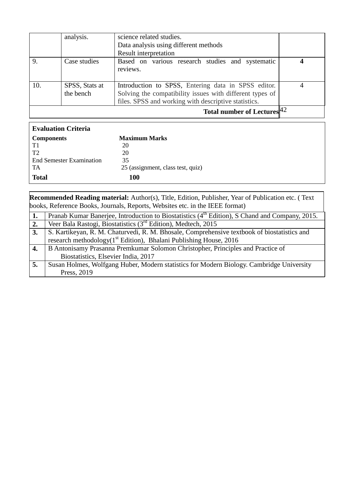|     | analysis.      | science related studies.<br>Data analysis using different methods |  |
|-----|----------------|-------------------------------------------------------------------|--|
|     |                | Result interpretation                                             |  |
| 9.  | Case studies   | Based on various research studies and systematic<br>reviews.      |  |
| 10. | SPSS, Stats at | Introduction to SPSS, Entering data in SPSS editor.               |  |
|     | the bench      | Solving the compatibility issues with different types of          |  |
|     |                | files. SPSS and working with descriptive statistics.              |  |
|     |                | Total number of Lectures $ 42 $                                   |  |

| <b>Evaluation Criteria</b>      |                                   |
|---------------------------------|-----------------------------------|
| <b>Components</b>               | <b>Maximum Marks</b>              |
| T1                              | 20                                |
| T <sub>2</sub>                  | 20                                |
| <b>End Semester Examination</b> | 35                                |
| TA                              | 25 (assignment, class test, quiz) |
| <b>Total</b>                    | <b>100</b>                        |

**Recommended Reading material:** Author(s), Title, Edition, Publisher, Year of Publication etc. ( Text books, Reference Books, Journals, Reports, Websites etc. in the IEEE format)

| 1. | Pranab Kumar Banerjee, Introduction to Biostatistics (4 <sup>th</sup> Edition), S Chand and Company, 2015. |
|----|------------------------------------------------------------------------------------------------------------|
| 2. | Veer Bala Rastogi, Biostatistics (3 <sup>rd</sup> Edition), Medtech, 2015                                  |
| 3. | S. Kartikeyan, R. M. Chaturvedi, R. M. Bhosale, Comprehensive textbook of biostatistics and                |
|    | research methodology(1 <sup>st</sup> Edition), Bhalani Publishing House, 2016                              |
| 4. | B Antonisamy Prasanna Premkumar Solomon Christopher, Principles and Practice of                            |
|    | Biostatistics, Elsevier India, 2017                                                                        |
| 5. | Susan Holmes, Wolfgang Huber, Modern statistics for Modern Biology. Cambridge University                   |
|    | Press, 2019                                                                                                |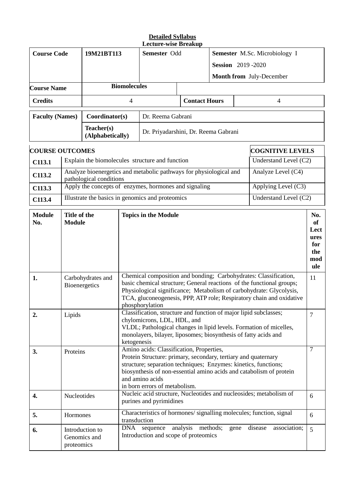|                        |                               |                                    |                                                                                                                                                                                                                                                                                                          | <b>Detailed Syllabus</b><br><b>Lecture-wise Breakup</b>                                                                         |                      |                               |   |                                                                     |                                                       |
|------------------------|-------------------------------|------------------------------------|----------------------------------------------------------------------------------------------------------------------------------------------------------------------------------------------------------------------------------------------------------------------------------------------------------|---------------------------------------------------------------------------------------------------------------------------------|----------------------|-------------------------------|---|---------------------------------------------------------------------|-------------------------------------------------------|
| <b>Course Code</b>     |                               | 19M21BT113                         | Semester Odd                                                                                                                                                                                                                                                                                             |                                                                                                                                 |                      | Semester M.Sc. Microbiology I |   |                                                                     |                                                       |
|                        |                               |                                    |                                                                                                                                                                                                                                                                                                          |                                                                                                                                 |                      | <b>Session</b> 2019-2020      |   |                                                                     |                                                       |
|                        |                               |                                    |                                                                                                                                                                                                                                                                                                          |                                                                                                                                 |                      |                               |   | Month from July-December                                            |                                                       |
| <b>Course Name</b>     |                               |                                    | <b>Biomolecules</b>                                                                                                                                                                                                                                                                                      |                                                                                                                                 |                      |                               |   |                                                                     |                                                       |
| <b>Credits</b>         |                               |                                    | 4                                                                                                                                                                                                                                                                                                        |                                                                                                                                 | <b>Contact Hours</b> |                               |   | 4                                                                   |                                                       |
| <b>Faculty (Names)</b> |                               | Coordinator(s)                     |                                                                                                                                                                                                                                                                                                          | Dr. Reema Gabrani                                                                                                               |                      |                               |   |                                                                     |                                                       |
|                        |                               | Teacher(s)<br>(Alphabetically)     |                                                                                                                                                                                                                                                                                                          | Dr. Priyadarshini, Dr. Reema Gabrani                                                                                            |                      |                               |   |                                                                     |                                                       |
| <b>COURSE OUTCOMES</b> |                               |                                    |                                                                                                                                                                                                                                                                                                          |                                                                                                                                 |                      |                               |   | <b>COGNITIVE LEVELS</b>                                             |                                                       |
| C113.1                 |                               |                                    |                                                                                                                                                                                                                                                                                                          | Explain the biomolecules structure and function                                                                                 |                      |                               |   | Understand Level (C2)                                               |                                                       |
| C113.2                 |                               | pathological conditions            |                                                                                                                                                                                                                                                                                                          | Analyze bioenergetics and metabolic pathways for physiological and                                                              |                      |                               |   | Analyze Level (C4)                                                  |                                                       |
| C113.3                 |                               |                                    |                                                                                                                                                                                                                                                                                                          | Apply the concepts of enzymes, hormones and signaling                                                                           |                      |                               |   | Applying Level (C3)                                                 |                                                       |
| C113.4                 |                               |                                    |                                                                                                                                                                                                                                                                                                          | Illustrate the basics in genomics and proteomics                                                                                |                      |                               |   | Understand Level (C2)                                               |                                                       |
| <b>Module</b><br>No.   | Title of the<br><b>Module</b> |                                    |                                                                                                                                                                                                                                                                                                          | <b>Topics in the Module</b>                                                                                                     |                      |                               |   |                                                                     | No.<br>of<br>Lect<br>ures<br>for<br>the<br>mod<br>ule |
| 1.                     |                               | Carbohydrates and<br>Bioenergetics | Chemical composition and bonding; Carbohydrates: Classification,<br>basic chemical structure; General reactions of the functional groups;<br>Physiological significance; Metabolism of carbohydrate: Glycolysis,<br>TCA, gluconeogenesis, PPP, ATP role; Respiratory chain and oxidative                 |                                                                                                                                 |                      | 11                            |   |                                                                     |                                                       |
| 2.                     | Lipids                        |                                    | phosphorylation<br>Classification, structure and function of major lipid subclasses;<br>chylomicrons, LDL, HDL, and<br>VLDL; Pathological changes in lipid levels. Formation of micelles,<br>monolayers, bilayer, liposomes; biosynthesis of fatty acids and<br>ketogenesis                              |                                                                                                                                 |                      |                               | 7 |                                                                     |                                                       |
| 3.                     | Proteins                      |                                    | Amino acids: Classification, Properties,<br>Protein Structure: primary, secondary, tertiary and quaternary<br>structure; separation techniques; Enzymes: kinetics, functions;<br>biosynthesis of non-essential amino acids and catabolism of protein<br>and amino acids<br>in born errors of metabolism. |                                                                                                                                 |                      |                               | 7 |                                                                     |                                                       |
| 4.                     | Nucleotides                   |                                    |                                                                                                                                                                                                                                                                                                          | purines and pyrimidines                                                                                                         |                      |                               |   | Nucleic acid structure, Nucleotides and nucleosides; metabolism of  | 6                                                     |
| 5.                     | Hormones                      |                                    |                                                                                                                                                                                                                                                                                                          |                                                                                                                                 |                      |                               |   | Characteristics of hormones/ signalling molecules; function, signal | 6                                                     |
| 6.                     | proteomics                    | Introduction to<br>Genomics and    |                                                                                                                                                                                                                                                                                                          | transduction<br>analysis methods;<br>sequence<br>disease<br>association;<br>DNA<br>gene<br>Introduction and scope of proteomics |                      |                               |   | 5                                                                   |                                                       |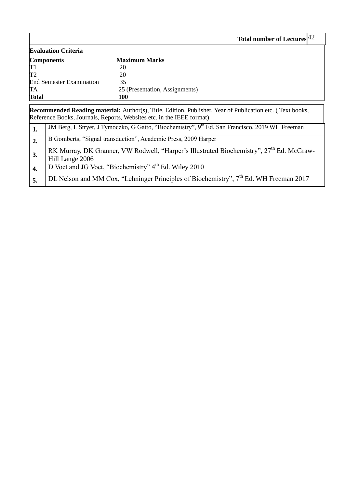|                                 | Total number of Lectures $42$  |  |
|---------------------------------|--------------------------------|--|
| <b>Evaluation Criteria</b>      |                                |  |
| <b>Components</b>               | <b>Maximum Marks</b>           |  |
|                                 | 20                             |  |
|                                 | 20                             |  |
| <b>End Semester Examination</b> | 35                             |  |
| TA                              | 25 (Presentation, Assignments) |  |
| <b>Total</b>                    | <b>100</b>                     |  |

 $\mathbf I$ 

**Recommended Reading material:** Author(s), Title, Edition, Publisher, Year of Publication etc. ( Text books, Reference Books, Journals, Reports, Websites etc. in the IEEE format)

|    | JM Berg, L Stryer, J Tymoczko, G Gatto, "Biochemistry", 9th Ed. San Francisco, 2019 WH Freeman                          |
|----|-------------------------------------------------------------------------------------------------------------------------|
| 2. | B Gomberts, "Signal transduction", Academic Press, 2009 Harper                                                          |
| 3. | RK Murray, DK Granner, VW Rodwell, "Harper's Illustrated Biochemistry", 27 <sup>th</sup> Ed. McGraw-<br>Hill Lange 2006 |
|    | D Voet and JG Voet, "Biochemistry" 4 <sup>th</sup> Ed. Wiley 2010                                                       |
|    | DL Nelson and MM Cox, "Lehninger Principles of Biochemistry", 7 <sup>th</sup> Ed. WH Freeman 2017                       |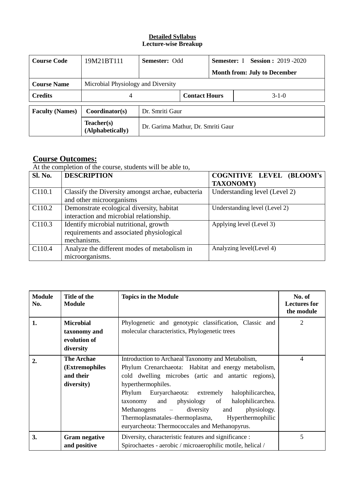# **Detailed Syllabus Lecture-wise Breakup**

| <b>Course Code</b>     | 19M21BT111                     | <b>Semester: Odd</b>               |                      |  | <b>Session : 2019 -2020</b><br><b>Semester:</b> I |  |  |
|------------------------|--------------------------------|------------------------------------|----------------------|--|---------------------------------------------------|--|--|
|                        |                                |                                    |                      |  | <b>Month from: July to December</b>               |  |  |
| <b>Course Name</b>     |                                | Microbial Physiology and Diversity |                      |  |                                                   |  |  |
| <b>Credits</b>         | 4                              |                                    | <b>Contact Hours</b> |  | $3-1-0$                                           |  |  |
| <b>Faculty (Names)</b> | Coordinator(s)                 | Dr. Smriti Gaur                    |                      |  |                                                   |  |  |
|                        | Teacher(s)<br>(Alphabetically) | Dr. Garima Mathur, Dr. Smriti Gaur |                      |  |                                                   |  |  |

# **Course Outcomes:**

At the completion of the course, students will be able to,

| <b>Sl. No.</b>     | <b>DESCRIPTION</b>                                | <b>COGNITIVE LEVEL (BLOOM's</b> |
|--------------------|---------------------------------------------------|---------------------------------|
|                    |                                                   | <b>TAXONOMY)</b>                |
| C110.1             | Classify the Diversity amongst archae, eubacteria | Understanding level (Level 2)   |
|                    | and other microorganisms                          |                                 |
| C <sub>110.2</sub> | Demonstrate ecological diversity, habitat         | Understanding level (Level 2)   |
|                    | interaction and microbial relationship.           |                                 |
| C110.3             | Identify microbial nutritional, growth            | Applying level (Level 3)        |
|                    | requirements and associated physiological         |                                 |
|                    | mechanisms.                                       |                                 |
| C <sub>110.4</sub> | Analyze the different modes of metabolism in      | Analyzing level(Level 4)        |
|                    | microorganisms.                                   |                                 |

| <b>Module</b><br>No. | Title of the<br><b>Module</b>                                  | <b>Topics in the Module</b>                                                                                                                                                                                                                                                                                                                                                                                                                                       | No. of<br><b>Lectures for</b><br>the module |
|----------------------|----------------------------------------------------------------|-------------------------------------------------------------------------------------------------------------------------------------------------------------------------------------------------------------------------------------------------------------------------------------------------------------------------------------------------------------------------------------------------------------------------------------------------------------------|---------------------------------------------|
| 1.                   | <b>Microbial</b><br>taxonomy and<br>evolution of<br>diversity  | Phylogenetic and genotypic classification, Classic and<br>molecular characteristics, Phylogenetic trees                                                                                                                                                                                                                                                                                                                                                           | 2                                           |
| $\overline{2}$ .     | <b>The Archae</b><br>(Extremophiles<br>and their<br>diversity) | Introduction to Archaeal Taxonomy and Metabolism,<br>Phylum Crenarchaeota: Habitat and energy metabolism,<br>cold dwelling microbes (artic and antartic regions),<br>hyperthermophiles.<br>Phylum<br>Euryarchaeota: extremely<br>halophilicarchea,<br>physiology of halophilicarchea.<br>and<br>taxonomy<br>Methanogens<br>physiology.<br>diversity<br>and<br>Thermoplasmatales-thermoplasma, Hyperthermophilic<br>euryarcheota: Thermococcales and Methanopyrus. | 4                                           |
| 3.                   | <b>Gram negative</b><br>and positive                           | Diversity, characteristic features and significance :<br>Spirochaetes - aerobic / microaerophilic motile, helical /                                                                                                                                                                                                                                                                                                                                               | 5                                           |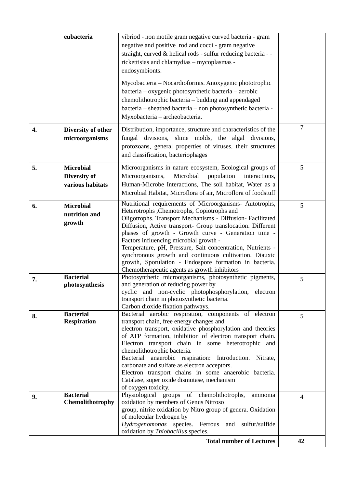|    | eubacteria                                           | vibriod - non motile gram negative curved bacteria - gram<br>negative and positive rod and cocci - gram negative<br>straight, curved & helical rods - sulfur reducing bacteria - -<br>rickettisias and chlamydias - mycoplasmas -<br>endosymbionts.                                                                                                                                                                                                                                                                                                                   |                |
|----|------------------------------------------------------|-----------------------------------------------------------------------------------------------------------------------------------------------------------------------------------------------------------------------------------------------------------------------------------------------------------------------------------------------------------------------------------------------------------------------------------------------------------------------------------------------------------------------------------------------------------------------|----------------|
|    |                                                      | Mycobacteria – Nocardioformis. Anoxygenic phototrophic<br>bacteria - oxygenic photosynthetic bacteria - aerobic<br>chemolithotrophic bacteria - budding and appendaged<br>bacteria - sheathed bacteria - non photosynthetic bacteria -<br>Myxobacteria - archeobacteria.                                                                                                                                                                                                                                                                                              |                |
| 4. | Diversity of other<br>microorganisms                 | Distribution, importance, structure and characteristics of the<br>fungal divisions, slime molds, the algal divisions,<br>protozoans, general properties of viruses, their structures<br>and classification, bacteriophages                                                                                                                                                                                                                                                                                                                                            | $\overline{7}$ |
| 5. | <b>Microbial</b><br>Diversity of<br>various habitats | Microorganisms in nature ecosystem, Ecological groups of<br>Microorganisms,<br>Microbial<br>population<br>interactions,<br>Human-Microbe Interactions, The soil habitat, Water as a<br>Microbial Habitat, Microflora of air, Microflora of foodstuff                                                                                                                                                                                                                                                                                                                  | 5              |
| 6. | <b>Microbial</b><br>nutrition and<br>growth          | Nutritional requirements of Microorganisms- Autotrophs,<br>Heterotrophs, Chemotrophs, Copiotrophs and<br>Oligotrophs. Transport Mechanisms - Diffusion- Facilitated<br>Diffusion, Active transport- Group translocation. Different<br>phases of growth - Growth curve - Generation time -<br>Factors influencing microbial growth -<br>Temperature, pH, Pressure, Salt concentration, Nutrients -<br>synchronous growth and continuous cultivation. Diauxic<br>growth, Sporulation - Endospore formation in bacteria.<br>Chemotherapeutic agents as growth inhibitors | 5              |
| 7. | <b>Bacterial</b><br>photosynthesis                   | Photosynthetic microorganisms, photosynthetic pigments,<br>and generation of reducing power by<br>cyclic and non-cyclic photophosphorylation, electron<br>transport chain in photosynthetic bacteria.<br>Carbon dioxide fixation pathways.                                                                                                                                                                                                                                                                                                                            | 5              |
| 8. | <b>Bacterial</b><br><b>Respiration</b>               | Bacterial aerobic respiration, components of electron<br>transport chain, free energy changes and<br>electron transport, oxidative phosphorylation and theories<br>of ATP formation, inhibition of electron transport chain.<br>Electron transport chain in some heterotrophic and<br>chemolithotrophic bacteria.<br>Bacterial anaerobic respiration: Introduction. Nitrate,<br>carbonate and sulfate as electron acceptors.<br>Electron transport chains in some anaerobic bacteria.<br>Catalase, super oxide dismutase, mechanism<br>of oxygen toxicity.            | 5              |
| 9. | <b>Bacterial</b><br>Chemolithotrophy                 | Physiological groups of chemolithotrophs,<br>ammonia<br>oxidation by members of Genus Nitroso<br>group, nitrite oxidation by Nitro group of genera. Oxidation<br>of molecular hydrogen by<br>Hydrogenomonas species. Ferrous and<br>sulfur/sulfide<br>oxidation by Thiobacillus species.                                                                                                                                                                                                                                                                              | $\overline{4}$ |
|    |                                                      | <b>Total number of Lectures</b>                                                                                                                                                                                                                                                                                                                                                                                                                                                                                                                                       | 42             |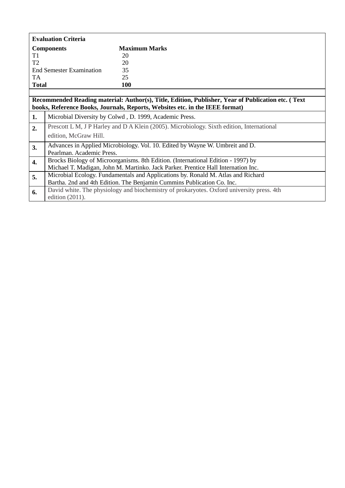|                | <b>Evaluation Criteria</b>                                                        |                                                                                                    |  |  |
|----------------|-----------------------------------------------------------------------------------|----------------------------------------------------------------------------------------------------|--|--|
|                | <b>Components</b>                                                                 | <b>Maximum Marks</b>                                                                               |  |  |
| T <sub>1</sub> |                                                                                   | 20                                                                                                 |  |  |
| T <sub>2</sub> |                                                                                   | 20                                                                                                 |  |  |
|                | <b>End Semester Examination</b>                                                   | 35                                                                                                 |  |  |
| TA             |                                                                                   | 25                                                                                                 |  |  |
| <b>Total</b>   |                                                                                   | 100                                                                                                |  |  |
|                |                                                                                   |                                                                                                    |  |  |
|                |                                                                                   | Recommended Reading material: Author(s), Title, Edition, Publisher, Year of Publication etc. (Text |  |  |
|                |                                                                                   | books, Reference Books, Journals, Reports, Websites etc. in the IEEE format)                       |  |  |
| 1.             |                                                                                   | Microbial Diversity by Colwd, D. 1999, Academic Press.                                             |  |  |
| 2.             |                                                                                   | Prescott L M, J P Harley and D A Klein (2005). Microbiology. Sixth edition, International          |  |  |
|                | edition, McGraw Hill.                                                             |                                                                                                    |  |  |
| 3.             |                                                                                   | Advances in Applied Microbiology. Vol. 10. Edited by Wayne W. Umbreit and D.                       |  |  |
|                | Pearlman. Academic Press.                                                         |                                                                                                    |  |  |
| 4.             | Brocks Biology of Microorganisms. 8th Edition. (International Edition - 1997) by  |                                                                                                    |  |  |
|                | Michael T. Madigan, John M. Martinko. Jack Parker. Prentice Hall Internation Inc. |                                                                                                    |  |  |
| 5.             | Microbial Ecology. Fundamentals and Applications by. Ronald M. Atlas and Richard  |                                                                                                    |  |  |
|                | Bartha. 2nd and 4th Edition. The Benjamin Cummins Publication Co. Inc.            |                                                                                                    |  |  |
| 6.             |                                                                                   | David white. The physiology and biochemistry of prokaryotes. Oxford university press. 4th          |  |  |
|                | edition (2011).                                                                   |                                                                                                    |  |  |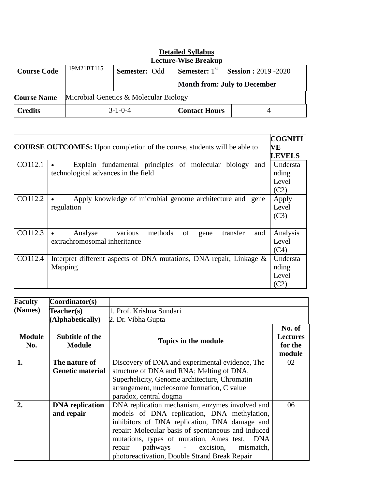|                                                              |            |                 | Lecture-Wise Breakup                |                                                       |
|--------------------------------------------------------------|------------|-----------------|-------------------------------------|-------------------------------------------------------|
| <b>Course Code</b>                                           | 19M21BT115 | Semester: Odd   |                                     | <b>Semester:</b> $1^{st}$ <b>Session :</b> 2019 -2020 |
|                                                              |            |                 | <b>Month from: July to December</b> |                                                       |
| Microbial Genetics & Molecular Biology<br><b>Course Name</b> |            |                 |                                     |                                                       |
| <b>Credits</b>                                               |            | $3 - 1 - 0 - 4$ | <b>Contact Hours</b>                |                                                       |

| <b>Detailed Syllabus</b>    |
|-----------------------------|
| <b>Lecture-Wise Breakup</b> |

|         | <b>COURSE OUTCOMES:</b> Upon completion of the course, students will be able to                   | <b>COGNITI</b><br>VE |
|---------|---------------------------------------------------------------------------------------------------|----------------------|
|         |                                                                                                   | <b>LEVELS</b>        |
| CO112.1 | Explain fundamental principles of molecular<br>biology and<br>technological advances in the field | Understa<br>nding    |
|         |                                                                                                   | Level                |
|         |                                                                                                   | (C2)                 |
| CO112.2 | Apply knowledge of microbial genome architecture and<br>gene                                      | Apply                |
|         | regulation                                                                                        | Level                |
|         |                                                                                                   | (C3)                 |
|         |                                                                                                   |                      |
| CO112.3 | of<br>and<br>Analyse<br>methods<br>transfer<br>various<br>gene                                    | Analysis             |
|         | extrachromosomal inheritance                                                                      | Level                |
|         |                                                                                                   | (C4)                 |
| CO112.4 | Interpret different aspects of DNA mutations, DNA repair, Linkage &                               | Understa             |
|         | Mapping                                                                                           | nding                |
|         |                                                                                                   | Level                |
|         |                                                                                                   | (C2)                 |

| <b>Faculty</b>       | $\text{Coordinator}(s)$                  |                                                                                                                                                                                                                                                                                                                                                    |                                                |
|----------------------|------------------------------------------|----------------------------------------------------------------------------------------------------------------------------------------------------------------------------------------------------------------------------------------------------------------------------------------------------------------------------------------------------|------------------------------------------------|
| (Names)              | Teacher(s)                               | 1. Prof. Krishna Sundari                                                                                                                                                                                                                                                                                                                           |                                                |
|                      | (Alphabetically)                         | 2. Dr. Vibha Gupta                                                                                                                                                                                                                                                                                                                                 |                                                |
| <b>Module</b><br>No. | Subtitle of the<br><b>Module</b>         | Topics in the module                                                                                                                                                                                                                                                                                                                               | No. of<br><b>Lectures</b><br>for the<br>module |
| 1.                   | The nature of<br><b>Genetic material</b> | Discovery of DNA and experimental evidence, The<br>structure of DNA and RNA; Melting of DNA,<br>Superhelicity, Genome architecture, Chromatin<br>arrangement, nucleosome formation, C value<br>paradox, central dogma                                                                                                                              | 02                                             |
| $\overline{2}$ .     | <b>DNA</b> replication<br>and repair     | DNA replication mechanism, enzymes involved and<br>models of DNA replication, DNA methylation,<br>inhibitors of DNA replication, DNA damage and<br>repair: Molecular basis of spontaneous and induced<br>mutations, types of mutation, Ames test, DNA<br>repair pathways - excision,<br>mismatch,<br>photoreactivation, Double Strand Break Repair | 06                                             |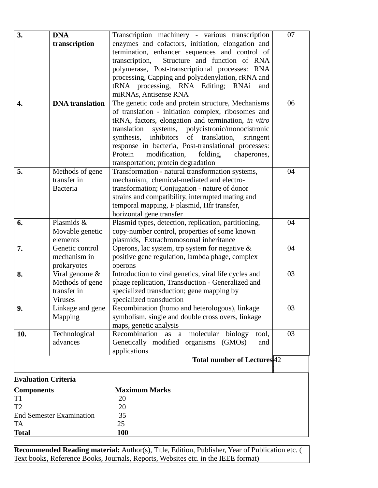| 3.                              | <b>DNA</b>             | Transcription machinery - various transcription                                         | 07 |
|---------------------------------|------------------------|-----------------------------------------------------------------------------------------|----|
|                                 | transcription          | enzymes and cofactors, initiation, elongation and                                       |    |
|                                 |                        | termination, enhancer sequences and control of                                          |    |
|                                 |                        | Structure and function of RNA<br>transcription,                                         |    |
|                                 |                        | polymerase, Post-transcriptional processes: RNA                                         |    |
|                                 |                        | processing, Capping and polyadenylation, rRNA and                                       |    |
|                                 |                        | tRNA processing, RNA Editing; RNAi<br>and                                               |    |
|                                 |                        | miRNAs, Antisense RNA                                                                   |    |
| 4.                              | <b>DNA</b> translation | The genetic code and protein structure, Mechanisms                                      | 06 |
|                                 |                        | of translation - initiation complex, ribosomes and                                      |    |
|                                 |                        | tRNA, factors, elongation and termination, in vitro                                     |    |
|                                 |                        | systems, polycistronic/monocistronic<br>translation                                     |    |
|                                 |                        | of translation,<br>inhibitors<br>synthesis,<br>stringent                                |    |
|                                 |                        | response in bacteria, Post-translational processes:                                     |    |
|                                 |                        | Protein<br>modification,<br>folding,<br>chaperones,                                     |    |
|                                 |                        | transportation; protein degradation                                                     |    |
| 5.                              | Methods of gene        | Transformation - natural transformation systems,                                        | 04 |
|                                 | transfer in            | mechanism, chemical-mediated and electro-                                               |    |
|                                 | Bacteria               | transformation; Conjugation - nature of donor                                           |    |
|                                 |                        | strains and compatibility, interrupted mating and                                       |    |
|                                 |                        | temporal mapping, F plasmid, Hfr transfer,                                              |    |
| 6.                              | Plasmids &             | horizontal gene transfer                                                                | 04 |
|                                 | Movable genetic        | Plasmid types, detection, replication, partitioning,                                    |    |
|                                 | elements               | copy-number control, properties of some known<br>plasmids, Extrachromosomal inheritance |    |
| 7.                              | Genetic control        | Operons, lac system, trp system for negative $\&$                                       | 04 |
|                                 | mechanism in           | positive gene regulation, lambda phage, complex                                         |    |
|                                 | prokaryotes            | operons                                                                                 |    |
| 8.                              | Viral genome $\&$      | Introduction to viral genetics, viral life cycles and                                   | 03 |
|                                 | Methods of gene        | phage replication, Transduction - Generalized and                                       |    |
|                                 | transfer in            | specialized transduction; gene mapping by                                               |    |
|                                 | <b>Viruses</b>         | specialized transduction                                                                |    |
| 9.                              | Linkage and gene       | Recombination (homo and heterologous), linkage                                          | 03 |
|                                 | Mapping                | symbolism, single and double cross overs, linkage                                       |    |
|                                 |                        | maps, genetic analysis                                                                  |    |
| 10.                             | Technological          | Recombination<br>as<br>molecular<br>biology<br>tool,<br>a                               | 03 |
|                                 | advances               | Genetically modified organisms (GMOs)<br>and                                            |    |
|                                 |                        | applications                                                                            |    |
|                                 |                        | <b>Total number of Lectures</b> <sup>42</sup>                                           |    |
| <b>Evaluation Criteria</b>      |                        |                                                                                         |    |
| <b>Components</b>               |                        | <b>Maximum Marks</b>                                                                    |    |
| T1                              |                        | 20                                                                                      |    |
| T2                              |                        | 20                                                                                      |    |
| <b>End Semester Examination</b> |                        | 35                                                                                      |    |
| TA                              |                        | 25                                                                                      |    |
| <b>Total</b>                    |                        | 100                                                                                     |    |

**Recommended Reading material:** Author(s), Title, Edition, Publisher, Year of Publication etc. ( Text books, Reference Books, Journals, Reports, Websites etc. in the IEEE format)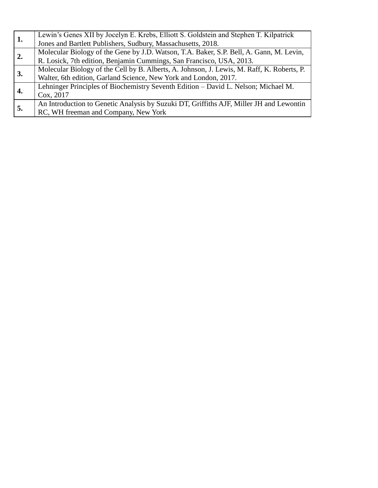| 1. | Lewin's Genes XII by Jocelyn E. Krebs, Elliott S. Goldstein and Stephen T. Kilpatrick      |
|----|--------------------------------------------------------------------------------------------|
|    | Jones and Bartlett Publishers, Sudbury, Massachusetts, 2018.                               |
|    | Molecular Biology of the Gene by J.D. Watson, T.A. Baker, S.P. Bell, A. Gann, M. Levin,    |
| 2. | R. Losick, 7th edition, Benjamin Cummings, San Francisco, USA, 2013.                       |
|    | Molecular Biology of the Cell by B. Alberts, A. Johnson, J. Lewis, M. Raff, K. Roberts, P. |
| 3. | Walter, 6th edition, Garland Science, New York and London, 2017.                           |
| 4. | Lehninger Principles of Biochemistry Seventh Edition – David L. Nelson; Michael M.         |
|    | Cox, 2017                                                                                  |
| 5. | An Introduction to Genetic Analysis by Suzuki DT, Griffiths AJF, Miller JH and Lewontin    |
|    | RC, WH freeman and Company, New York                                                       |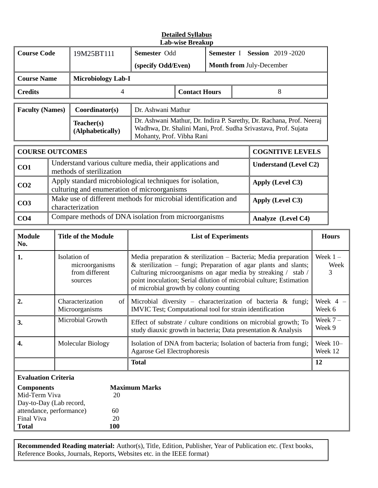#### **Detailed Syllabus Lab-wise Breakup**

| <b>Course Code</b>     | 19M25BT111                     | Semester Odd                                                                                                                                                        |                      |                                 | <b>Semester I</b> Session 2019-2020 |
|------------------------|--------------------------------|---------------------------------------------------------------------------------------------------------------------------------------------------------------------|----------------------|---------------------------------|-------------------------------------|
|                        |                                | (specify Odd/Even)                                                                                                                                                  |                      | <b>Month from July-December</b> |                                     |
| <b>Course Name</b>     | <b>Microbiology Lab-I</b>      |                                                                                                                                                                     |                      |                                 |                                     |
| <b>Credits</b>         | 4                              |                                                                                                                                                                     | <b>Contact Hours</b> |                                 | 8                                   |
|                        |                                |                                                                                                                                                                     |                      |                                 |                                     |
| <b>Faculty (Names)</b> | Coordinator(s)                 | Dr. Ashwani Mathur                                                                                                                                                  |                      |                                 |                                     |
|                        | Teacher(s)<br>(Alphabetically) | Dr. Ashwani Mathur, Dr. Indira P. Sarethy, Dr. Rachana, Prof. Neeraj<br>Wadhwa, Dr. Shalini Mani, Prof. Sudha Srivastava, Prof. Sujata<br>Mohanty, Prof. Vibha Rani |                      |                                 |                                     |

| <b>COURSE OUTCOMES</b> |                                                                                                         | <b>COGNITIVE LEVELS</b>      |
|------------------------|---------------------------------------------------------------------------------------------------------|------------------------------|
| CO <sub>1</sub>        | Understand various culture media, their applications and<br>methods of sterilization                    | <b>Understand (Level C2)</b> |
| CO <sub>2</sub>        | Apply standard microbiological techniques for isolation,<br>culturing and enumeration of microorganisms | Apply (Level C3)             |
| CO <sub>3</sub>        | Make use of different methods for microbial identification and<br>characterization                      | Apply (Level C3)             |
| CO <sub>4</sub>        | Compare methods of DNA isolation from microorganisms                                                    | Analyze (Level C4)           |

| <b>Module</b><br>No.                                                                                                    | <b>Title of the Module</b>                                  | <b>List of Experiments</b>                                                                                                                                                                                                                                                                                             | <b>Hours</b>            |  |  |  |
|-------------------------------------------------------------------------------------------------------------------------|-------------------------------------------------------------|------------------------------------------------------------------------------------------------------------------------------------------------------------------------------------------------------------------------------------------------------------------------------------------------------------------------|-------------------------|--|--|--|
| 1.                                                                                                                      | Isolation of<br>microorganisms<br>from different<br>sources | Media preparation $\&$ sterilization – Bacteria; Media preparation<br>& sterilization – fungi; Preparation of agar plants and slants;<br>Culturing microorganisms on agar media by streaking / stab /<br>point inoculation; Serial dilution of microbial culture; Estimation<br>of microbial growth by colony counting | Week $1 -$<br>Week<br>3 |  |  |  |
| 2.                                                                                                                      | Characterization<br>of<br>Microorganisms                    | Microbial diversity – characterization of bacteria $\&$ fungi;<br>IMVIC Test; Computational tool for strain identification                                                                                                                                                                                             | Week 4<br>Week 6        |  |  |  |
| 3.                                                                                                                      | Microbial Growth                                            | Effect of substrate / culture conditions on microbial growth; To<br>study diauxic growth in bacteria; Data presentation & Analysis                                                                                                                                                                                     | Week $7-$<br>Week 9     |  |  |  |
| 4.                                                                                                                      | Molecular Biology                                           | Isolation of DNA from bacteria; Isolation of bacteria from fungi;<br><b>Agarose Gel Electrophoresis</b>                                                                                                                                                                                                                | Week $10-$<br>Week 12   |  |  |  |
|                                                                                                                         |                                                             | <b>Total</b>                                                                                                                                                                                                                                                                                                           | 12                      |  |  |  |
|                                                                                                                         | <b>Evaluation Criteria</b>                                  |                                                                                                                                                                                                                                                                                                                        |                         |  |  |  |
| <b>Components</b><br>Mid-Term Viva<br>Day-to-Day (Lab record,<br>attendance, performance)<br>Final Viva<br><b>Total</b> | 20<br>60<br>20<br>100                                       | <b>Maximum Marks</b>                                                                                                                                                                                                                                                                                                   |                         |  |  |  |

**Recommended Reading material:** Author(s), Title, Edition, Publisher, Year of Publication etc. (Text books, Reference Books, Journals, Reports, Websites etc. in the IEEE format)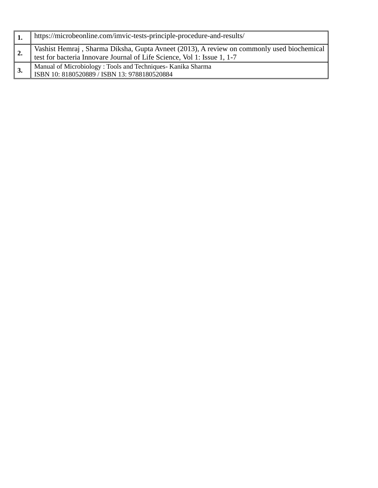|    | https://microbeonline.com/imvic-tests-principle-procedure-and-results/                                                                                               |
|----|----------------------------------------------------------------------------------------------------------------------------------------------------------------------|
| 2. | Vashist Hemraj, Sharma Diksha, Gupta Avneet (2013), A review on commonly used biochemical<br>test for bacteria Innovare Journal of Life Science, Vol 1: Issue 1, 1-7 |
| 3. | Manual of Microbiology: Tools and Techniques- Kanika Sharma<br>ISBN 10: 8180520889 / ISBN 13: 9788180520884                                                          |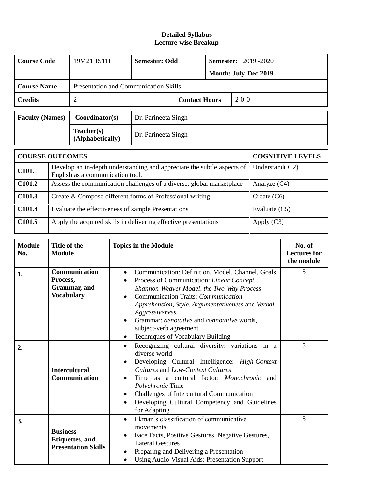## **Detailed Syllabus Lecture-wise Breakup**

| <b>Course Code</b>     | 19M21HS111                     | <b>Semester: Odd</b>                         |                      | <b>Semester: 2019 -2020</b> |                             |  |
|------------------------|--------------------------------|----------------------------------------------|----------------------|-----------------------------|-----------------------------|--|
|                        |                                |                                              |                      |                             | <b>Month: July-Dec 2019</b> |  |
| <b>Course Name</b>     |                                | <b>Presentation and Communication Skills</b> |                      |                             |                             |  |
| <b>Credits</b>         |                                |                                              | <b>Contact Hours</b> |                             | $2 - 0 - 0$                 |  |
| <b>Faculty (Names)</b> | Coordinator(s)                 | Dr. Parineeta Singh                          |                      |                             |                             |  |
|                        | Teacher(s)<br>(Alphabetically) | Dr. Parineeta Singh                          |                      |                             |                             |  |
|                        |                                |                                              |                      |                             |                             |  |

|                    | <b>COURSE OUTCOMES</b>                                                                                          | <b>COGNITIVE LEVELS</b> |
|--------------------|-----------------------------------------------------------------------------------------------------------------|-------------------------|
| C101.1             | Develop an in-depth understanding and appreciate the subtle aspects of $\ $<br>English as a communication tool. | Understand(C2)          |
| C101.2             | Assess the communication challenges of a diverse, global marketplace                                            | Analyze $(C4)$          |
| C <sub>101.3</sub> | Create & Compose different forms of Professional writing                                                        | Create $(C6)$           |
| C101.4             | Evaluate the effectiveness of sample Presentations                                                              | Evaluate $(C5)$         |
| C101.5             | Apply the acquired skills in delivering effective presentations                                                 | Apply $(C3)$            |

| <b>Module</b><br>No. | Title of the<br><b>Module</b>                                            | <b>Topics in the Module</b>                                                                                                                                                                                                                                                                                                                                                                                                            | No. of<br><b>Lectures</b> for<br>the module |
|----------------------|--------------------------------------------------------------------------|----------------------------------------------------------------------------------------------------------------------------------------------------------------------------------------------------------------------------------------------------------------------------------------------------------------------------------------------------------------------------------------------------------------------------------------|---------------------------------------------|
| 1.                   | Communication<br>Process,<br>Grammar, and<br><b>Vocabulary</b>           | Communication: Definition, Model, Channel, Goals<br>$\bullet$<br>Process of Communication: Linear Concept,<br>$\bullet$<br>Shannon-Weaver Model, the Two-Way Process<br>Communication Traits: Communication<br>$\bullet$<br>Apprehension, Style, Argumentativeness and Verbal<br>Aggressiveness<br>Grammar: denotative and connotative words,<br>$\bullet$<br>subject-verb agreement<br>Techniques of Vocabulary Building<br>$\bullet$ | 5                                           |
| 2.                   | <b>Intercultural</b><br>Communication                                    | Recognizing cultural diversity: variations in a<br>$\bullet$<br>diverse world<br>Developing Cultural Intelligence: High-Context<br>$\bullet$<br>Cultures and Low-Context Cultures<br>Time as a cultural factor: <i>Monochronic</i> and<br>$\bullet$<br>Polychronic Time<br>Challenges of Intercultural Communication<br>$\bullet$<br>Developing Cultural Competency and Guidelines<br>$\bullet$<br>for Adapting.                       | 5                                           |
| 3.                   | <b>Business</b><br><b>Etiquettes</b> , and<br><b>Presentation Skills</b> | Ekman's classification of communicative<br>$\bullet$<br>movements<br>Face Facts, Positive Gestures, Negative Gestures,<br>$\bullet$<br><b>Lateral Gestures</b><br>Preparing and Delivering a Presentation<br>$\bullet$<br>Using Audio-Visual Aids: Presentation Support<br>$\bullet$                                                                                                                                                   | 5                                           |